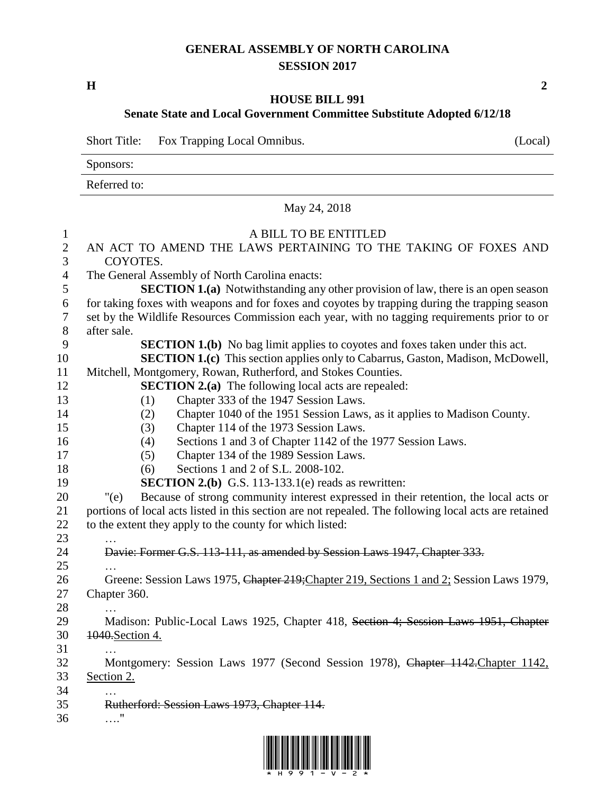## **GENERAL ASSEMBLY OF NORTH CAROLINA SESSION 2017**

**H 2**

## **HOUSE BILL 991 Senate State and Local Government Committee Substitute Adopted 6/12/18**

Short Title: Fox Trapping Local Omnibus. (Local)

Sponsors:

Referred to:

|                                  | May 24, 2018                                                                                          |
|----------------------------------|-------------------------------------------------------------------------------------------------------|
| $\mathbf{1}$                     | A BILL TO BE ENTITLED                                                                                 |
| $\overline{2}$<br>$\mathfrak{Z}$ | AN ACT TO AMEND THE LAWS PERTAINING TO THE TAKING OF FOXES AND<br>COYOTES.                            |
| $\overline{4}$                   | The General Assembly of North Carolina enacts:                                                        |
| 5                                | <b>SECTION 1.(a)</b> Notwithstanding any other provision of law, there is an open season              |
| 6                                | for taking foxes with weapons and for foxes and coyotes by trapping during the trapping season        |
| $\boldsymbol{7}$                 | set by the Wildlife Resources Commission each year, with no tagging requirements prior to or          |
| $8\,$                            | after sale.                                                                                           |
| 9                                | <b>SECTION 1.(b)</b> No bag limit applies to coyotes and foxes taken under this act.                  |
| 10                               | <b>SECTION 1.(c)</b> This section applies only to Cabarrus, Gaston, Madison, McDowell,                |
| 11                               | Mitchell, Montgomery, Rowan, Rutherford, and Stokes Counties.                                         |
| 12                               | <b>SECTION 2.(a)</b> The following local acts are repealed:                                           |
| 13                               | Chapter 333 of the 1947 Session Laws.<br>(1)                                                          |
| 14                               | Chapter 1040 of the 1951 Session Laws, as it applies to Madison County.<br>(2)                        |
| 15                               | Chapter 114 of the 1973 Session Laws.<br>(3)                                                          |
| 16                               | Sections 1 and 3 of Chapter 1142 of the 1977 Session Laws.<br>(4)                                     |
| 17                               | Chapter 134 of the 1989 Session Laws.<br>(5)                                                          |
| 18                               | Sections 1 and 2 of S.L. 2008-102.<br>(6)                                                             |
| 19                               | <b>SECTION 2.(b)</b> G.S. 113-133.1(e) reads as rewritten:                                            |
| 20                               | Because of strong community interest expressed in their retention, the local acts or<br>" $(e)$       |
| 21                               | portions of local acts listed in this section are not repealed. The following local acts are retained |
| 22                               | to the extent they apply to the county for which listed:                                              |
| 23                               |                                                                                                       |
| 24                               | Davie: Former G.S. 113-111, as amended by Session Laws 1947, Chapter 333.                             |
| 25                               |                                                                                                       |
| 26                               | Greene: Session Laws 1975, Chapter 219; Chapter 219, Sections 1 and 2; Session Laws 1979,             |
| 27                               | Chapter 360.                                                                                          |
| 28                               |                                                                                                       |
| 29                               | Madison: Public-Local Laws 1925, Chapter 418, Section 4; Session Laws 1951, Chapter                   |
| 30                               | 1040. Section 4.                                                                                      |
| 31                               |                                                                                                       |
| 32                               | Montgomery: Session Laws 1977 (Second Session 1978), Chapter 1142. Chapter 1142,                      |
| 33                               | Section 2.                                                                                            |
| 34                               |                                                                                                       |
| 35                               | Rutherford: Session Laws 1973, Chapter 114.<br>11                                                     |
| 36                               |                                                                                                       |